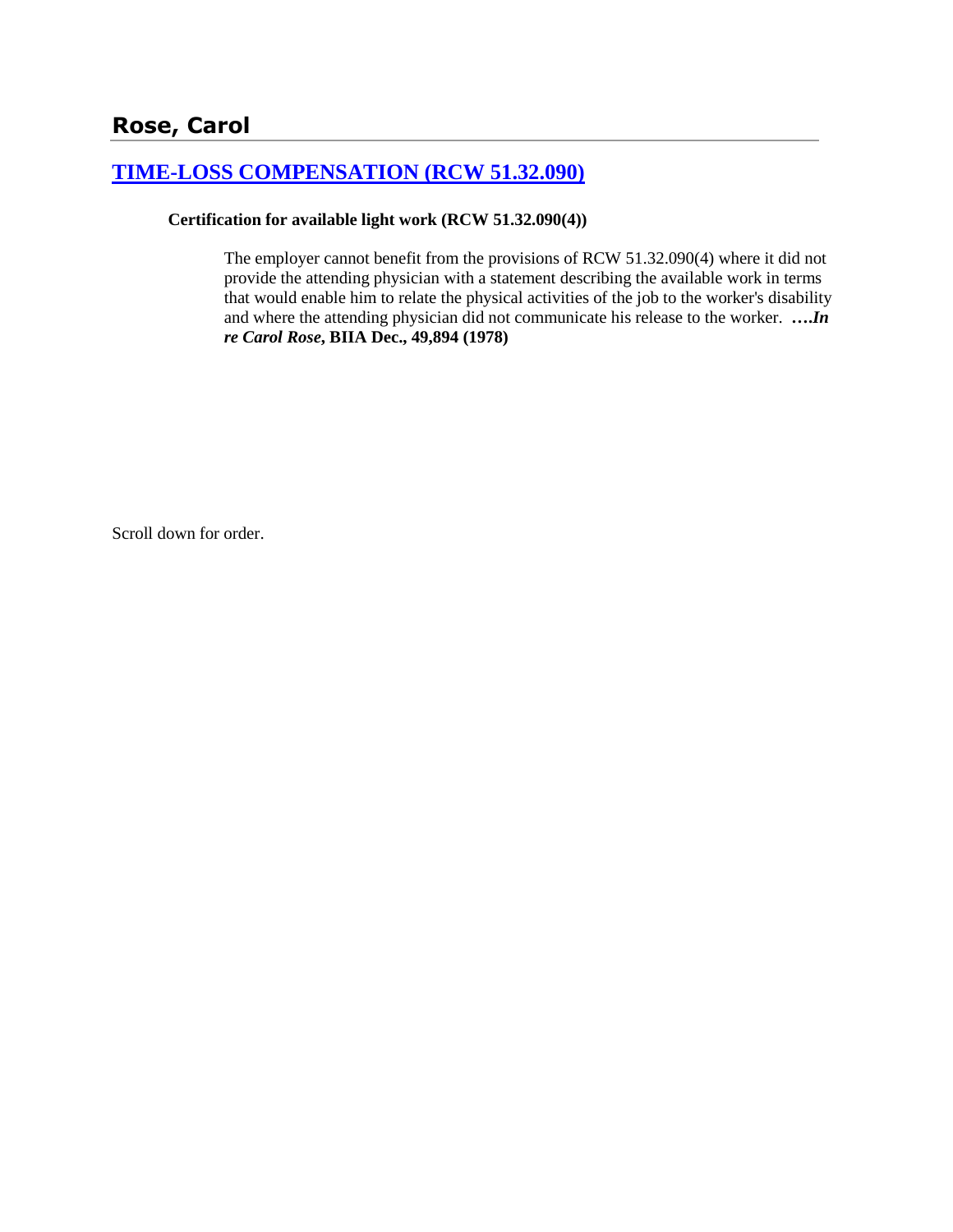# **[TIME-LOSS COMPENSATION \(RCW 51.32.090\)](http://www.biia.wa.gov/SDSubjectIndex.html#TIME_LOSS_COMPENSATION)**

### **Certification for available light work (RCW 51.32.090(4))**

The employer cannot benefit from the provisions of RCW 51.32.090(4) where it did not provide the attending physician with a statement describing the available work in terms that would enable him to relate the physical activities of the job to the worker's disability and where the attending physician did not communicate his release to the worker. **….***In re Carol Rose***, BIIA Dec., 49,894 (1978)** 

Scroll down for order.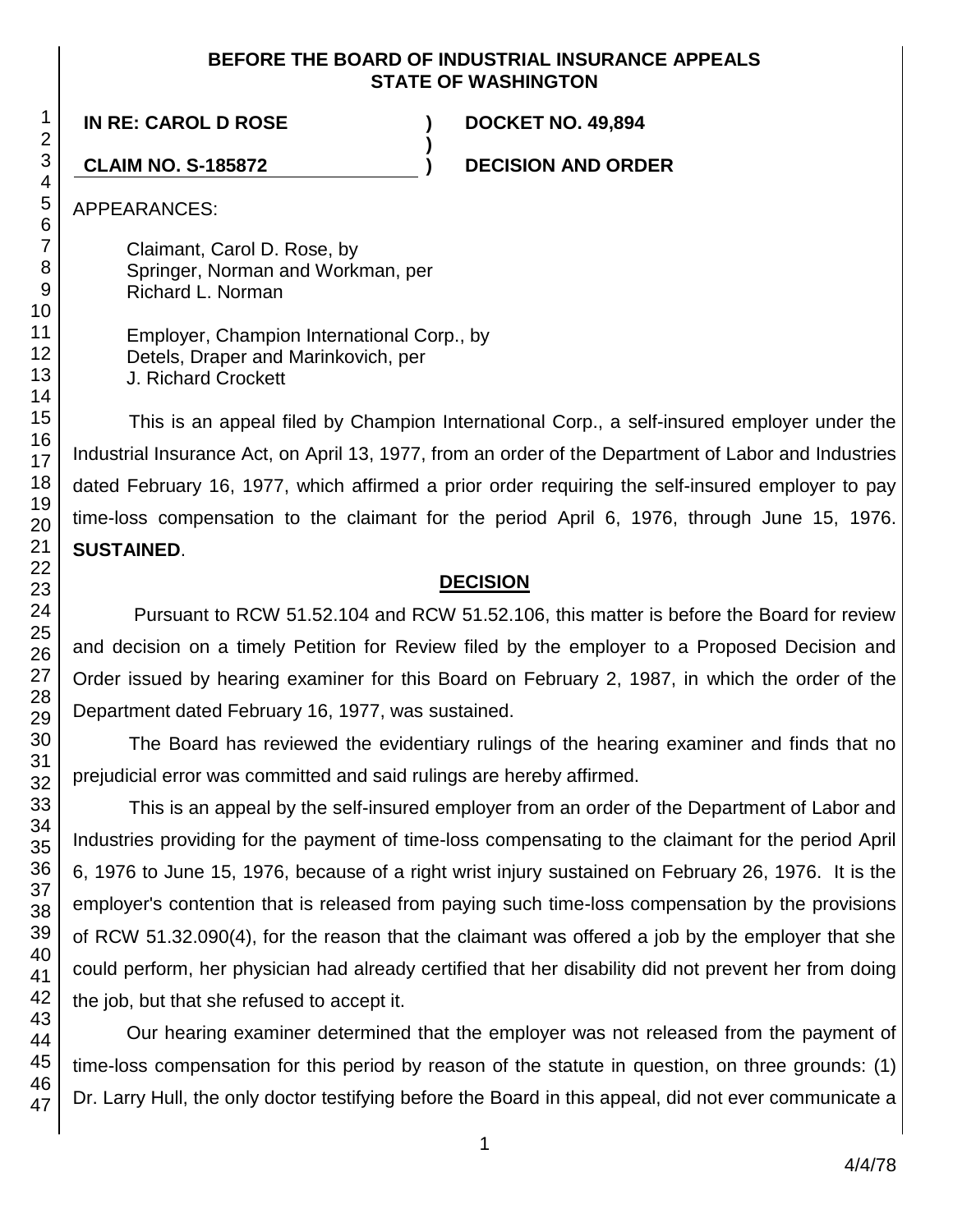### **BEFORE THE BOARD OF INDUSTRIAL INSURANCE APPEALS STATE OF WASHINGTON**

**)**

**IN RE: CAROL D ROSE ) DOCKET NO. 49,894**

**CLAIM NO. S-185872 ) DECISION AND ORDER**

APPEARANCES:

Claimant, Carol D. Rose, by Springer, Norman and Workman, per Richard L. Norman

Employer, Champion International Corp., by Detels, Draper and Marinkovich, per J. Richard Crockett

This is an appeal filed by Champion International Corp., a self-insured employer under the Industrial Insurance Act, on April 13, 1977, from an order of the Department of Labor and Industries dated February 16, 1977, which affirmed a prior order requiring the self-insured employer to pay time-loss compensation to the claimant for the period April 6, 1976, through June 15, 1976. **SUSTAINED**.

# **DECISION**

Pursuant to RCW 51.52.104 and RCW 51.52.106, this matter is before the Board for review and decision on a timely Petition for Review filed by the employer to a Proposed Decision and Order issued by hearing examiner for this Board on February 2, 1987, in which the order of the Department dated February 16, 1977, was sustained.

The Board has reviewed the evidentiary rulings of the hearing examiner and finds that no prejudicial error was committed and said rulings are hereby affirmed.

This is an appeal by the self-insured employer from an order of the Department of Labor and Industries providing for the payment of time-loss compensating to the claimant for the period April 6, 1976 to June 15, 1976, because of a right wrist injury sustained on February 26, 1976. It is the employer's contention that is released from paying such time-loss compensation by the provisions of RCW 51.32.090(4), for the reason that the claimant was offered a job by the employer that she could perform, her physician had already certified that her disability did not prevent her from doing the job, but that she refused to accept it.

Our hearing examiner determined that the employer was not released from the payment of time-loss compensation for this period by reason of the statute in question, on three grounds: (1) Dr. Larry Hull, the only doctor testifying before the Board in this appeal, did not ever communicate a

1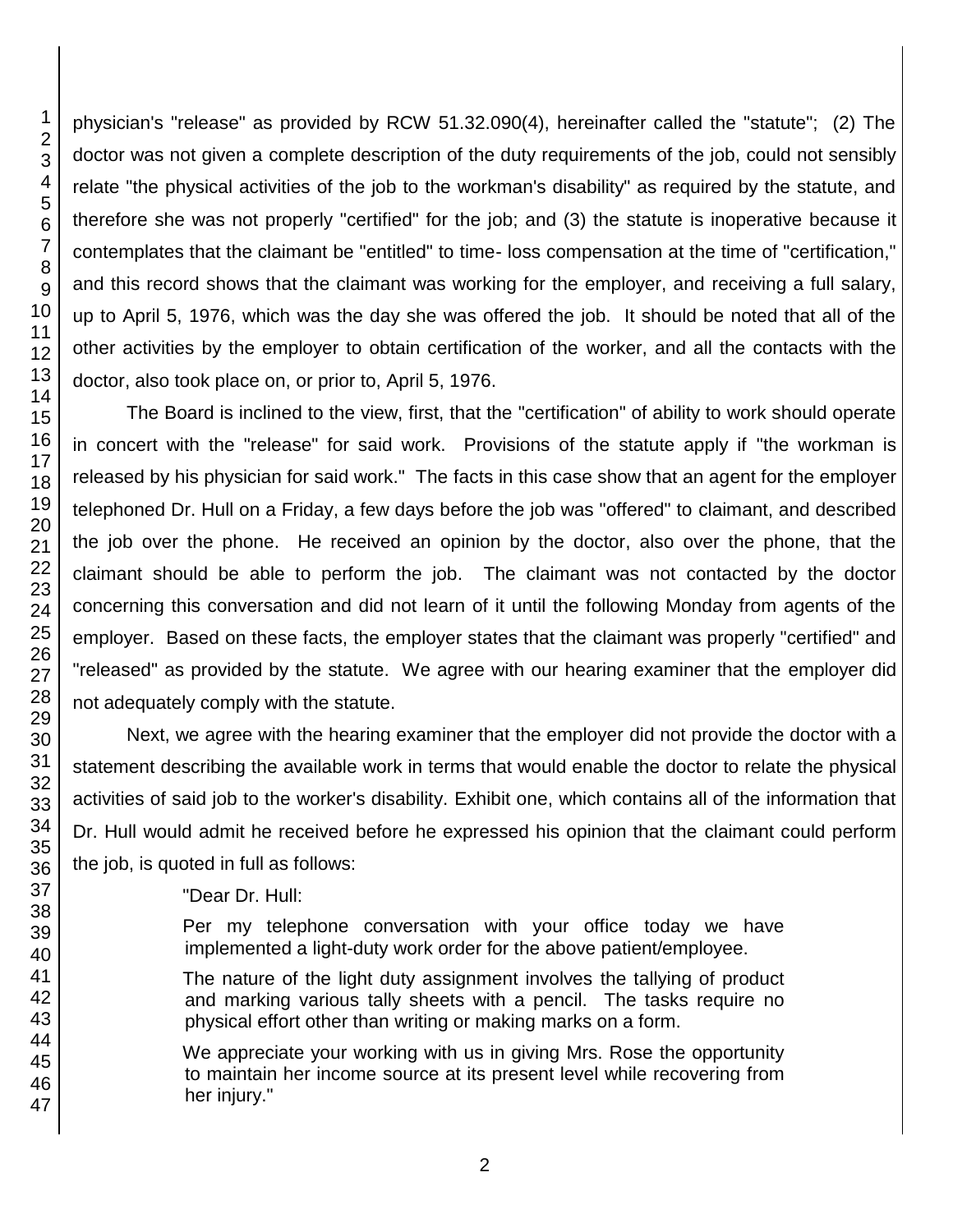physician's "release" as provided by RCW 51.32.090(4), hereinafter called the "statute"; (2) The doctor was not given a complete description of the duty requirements of the job, could not sensibly relate "the physical activities of the job to the workman's disability" as required by the statute, and therefore she was not properly "certified" for the job; and (3) the statute is inoperative because it contemplates that the claimant be "entitled" to time- loss compensation at the time of "certification," and this record shows that the claimant was working for the employer, and receiving a full salary, up to April 5, 1976, which was the day she was offered the job. It should be noted that all of the other activities by the employer to obtain certification of the worker, and all the contacts with the doctor, also took place on, or prior to, April 5, 1976.

The Board is inclined to the view, first, that the "certification" of ability to work should operate in concert with the "release" for said work. Provisions of the statute apply if "the workman is released by his physician for said work." The facts in this case show that an agent for the employer telephoned Dr. Hull on a Friday, a few days before the job was "offered" to claimant, and described the job over the phone. He received an opinion by the doctor, also over the phone, that the claimant should be able to perform the job. The claimant was not contacted by the doctor concerning this conversation and did not learn of it until the following Monday from agents of the employer. Based on these facts, the employer states that the claimant was properly "certified" and "released" as provided by the statute. We agree with our hearing examiner that the employer did not adequately comply with the statute.

Next, we agree with the hearing examiner that the employer did not provide the doctor with a statement describing the available work in terms that would enable the doctor to relate the physical activities of said job to the worker's disability. Exhibit one, which contains all of the information that Dr. Hull would admit he received before he expressed his opinion that the claimant could perform the job, is quoted in full as follows:

"Dear Dr. Hull:

Per my telephone conversation with your office today we have implemented a light-duty work order for the above patient/employee.

The nature of the light duty assignment involves the tallying of product and marking various tally sheets with a pencil. The tasks require no physical effort other than writing or making marks on a form.

We appreciate your working with us in giving Mrs. Rose the opportunity to maintain her income source at its present level while recovering from her injury."

1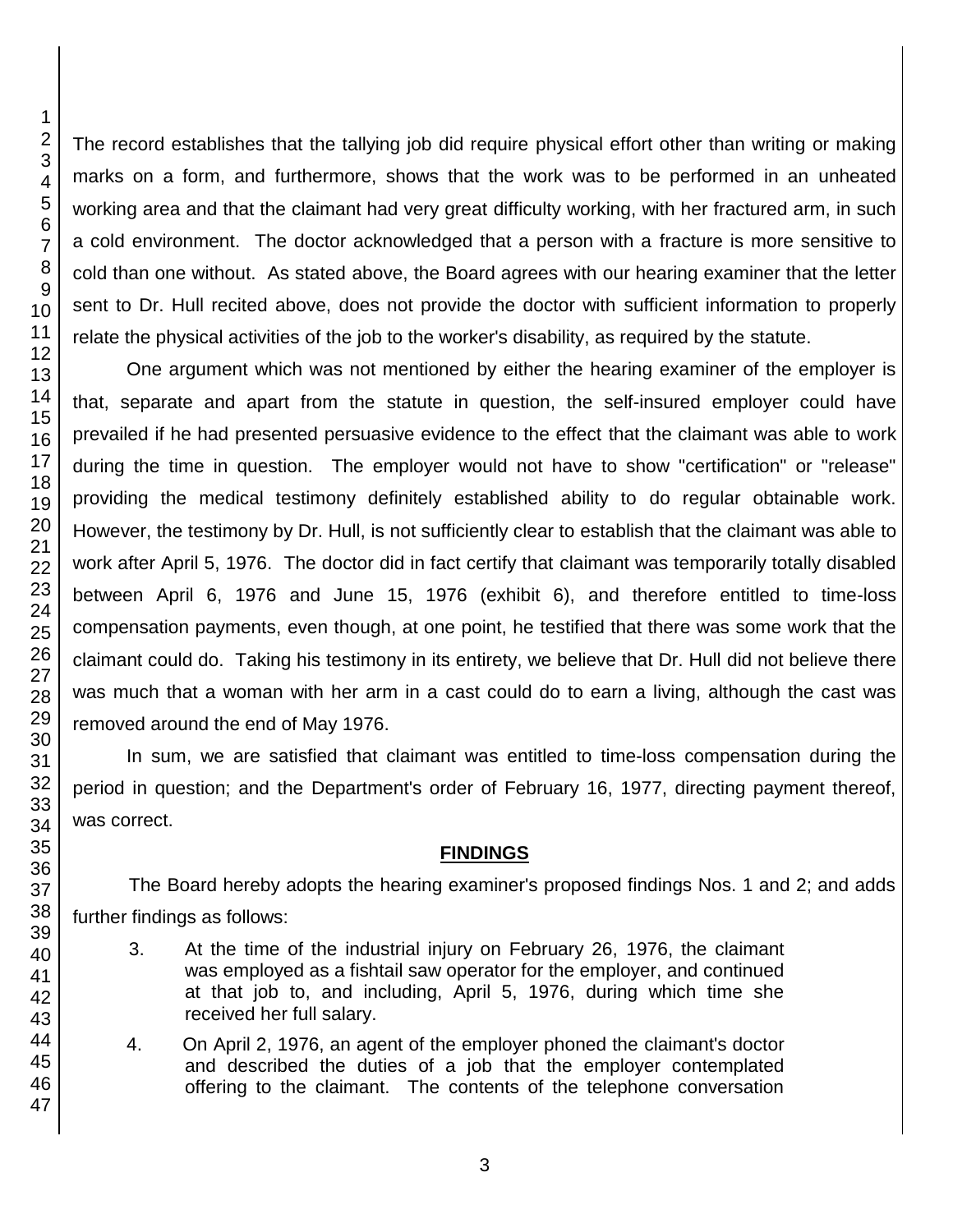The record establishes that the tallying job did require physical effort other than writing or making marks on a form, and furthermore, shows that the work was to be performed in an unheated working area and that the claimant had very great difficulty working, with her fractured arm, in such a cold environment. The doctor acknowledged that a person with a fracture is more sensitive to cold than one without. As stated above, the Board agrees with our hearing examiner that the letter sent to Dr. Hull recited above, does not provide the doctor with sufficient information to properly relate the physical activities of the job to the worker's disability, as required by the statute.

One argument which was not mentioned by either the hearing examiner of the employer is that, separate and apart from the statute in question, the self-insured employer could have prevailed if he had presented persuasive evidence to the effect that the claimant was able to work during the time in question. The employer would not have to show "certification" or "release" providing the medical testimony definitely established ability to do regular obtainable work. However, the testimony by Dr. Hull, is not sufficiently clear to establish that the claimant was able to work after April 5, 1976. The doctor did in fact certify that claimant was temporarily totally disabled between April 6, 1976 and June 15, 1976 (exhibit 6), and therefore entitled to time-loss compensation payments, even though, at one point, he testified that there was some work that the claimant could do. Taking his testimony in its entirety, we believe that Dr. Hull did not believe there was much that a woman with her arm in a cast could do to earn a living, although the cast was removed around the end of May 1976.

In sum, we are satisfied that claimant was entitled to time-loss compensation during the period in question; and the Department's order of February 16, 1977, directing payment thereof, was correct.

## **FINDINGS**

The Board hereby adopts the hearing examiner's proposed findings Nos. 1 and 2; and adds further findings as follows:

- 3. At the time of the industrial injury on February 26, 1976, the claimant was employed as a fishtail saw operator for the employer, and continued at that job to, and including, April 5, 1976, during which time she received her full salary.
- 4. On April 2, 1976, an agent of the employer phoned the claimant's doctor and described the duties of a job that the employer contemplated offering to the claimant. The contents of the telephone conversation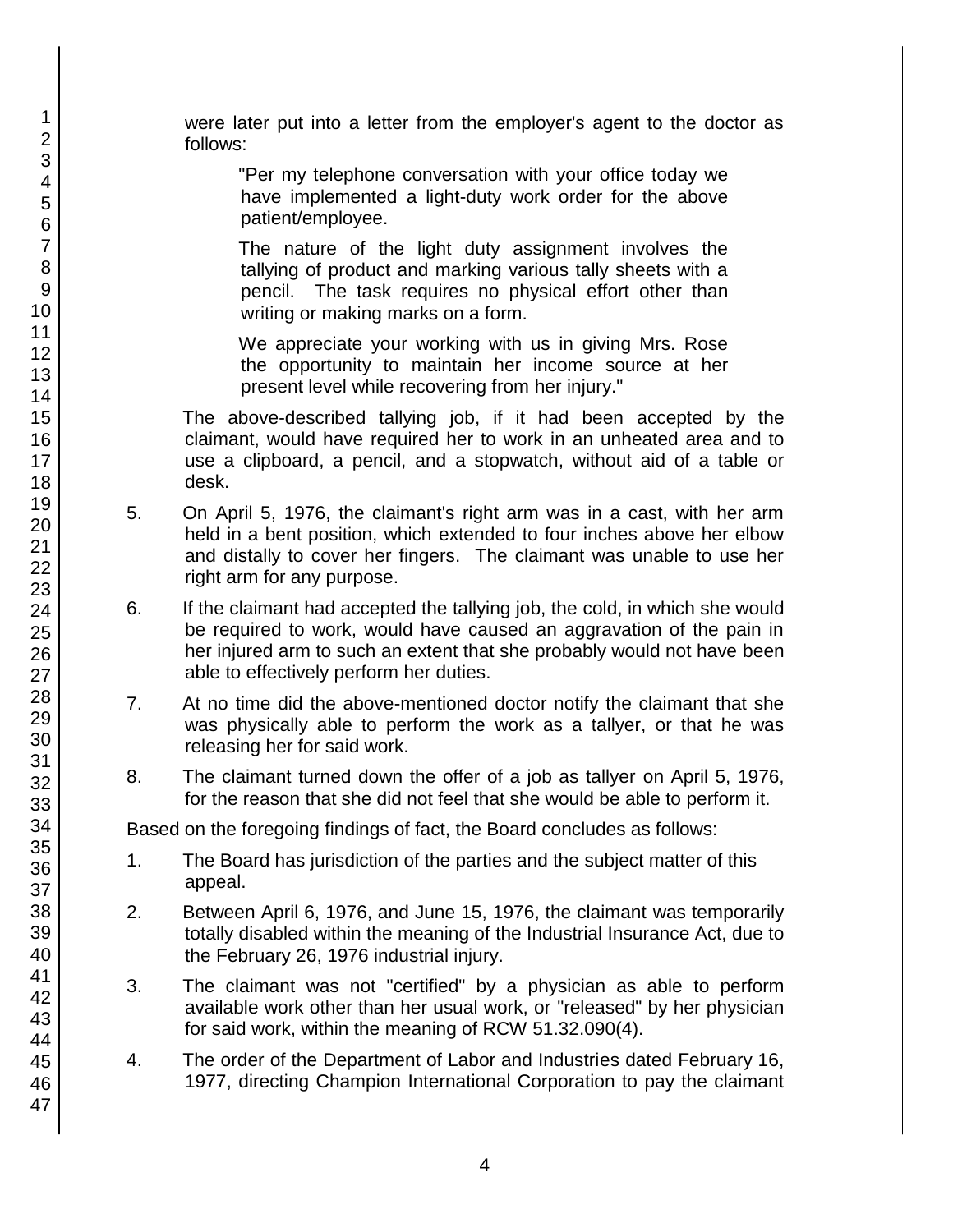were later put into a letter from the employer's agent to the doctor as follows:

"Per my telephone conversation with your office today we have implemented a light-duty work order for the above patient/employee.

The nature of the light duty assignment involves the tallying of product and marking various tally sheets with a pencil. The task requires no physical effort other than writing or making marks on a form.

We appreciate your working with us in giving Mrs. Rose the opportunity to maintain her income source at her present level while recovering from her injury."

The above-described tallying job, if it had been accepted by the claimant, would have required her to work in an unheated area and to use a clipboard, a pencil, and a stopwatch, without aid of a table or desk.

- 5. On April 5, 1976, the claimant's right arm was in a cast, with her arm held in a bent position, which extended to four inches above her elbow and distally to cover her fingers. The claimant was unable to use her right arm for any purpose.
- 6. If the claimant had accepted the tallying job, the cold, in which she would be required to work, would have caused an aggravation of the pain in her injured arm to such an extent that she probably would not have been able to effectively perform her duties.
- 7. At no time did the above-mentioned doctor notify the claimant that she was physically able to perform the work as a tallyer, or that he was releasing her for said work.
- 8. The claimant turned down the offer of a job as tallyer on April 5, 1976, for the reason that she did not feel that she would be able to perform it.

Based on the foregoing findings of fact, the Board concludes as follows:

- 1. The Board has jurisdiction of the parties and the subject matter of this appeal.
- 2. Between April 6, 1976, and June 15, 1976, the claimant was temporarily totally disabled within the meaning of the Industrial Insurance Act, due to the February 26, 1976 industrial injury.
- 3. The claimant was not "certified" by a physician as able to perform available work other than her usual work, or "released" by her physician for said work, within the meaning of RCW 51.32.090(4).
- 4. The order of the Department of Labor and Industries dated February 16, 1977, directing Champion International Corporation to pay the claimant